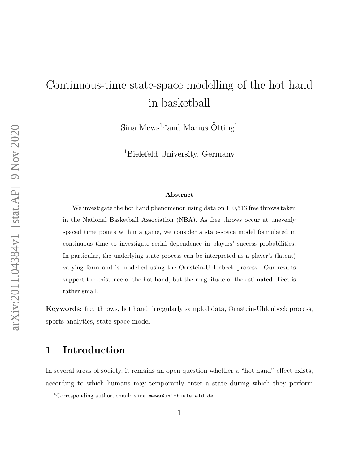# Continuous-time state-space modelling of the hot hand in basketball

Sina Mews<sup>1,\*</sup>and Marius  $\ddot{\text{O}}\text{tting}^1$ 

<sup>1</sup>Bielefeld University, Germany

#### Abstract

We investigate the hot hand phenomenon using data on 110,513 free throws taken in the National Basketball Association (NBA). As free throws occur at unevenly spaced time points within a game, we consider a state-space model formulated in continuous time to investigate serial dependence in players' success probabilities. In particular, the underlying state process can be interpreted as a player's (latent) varying form and is modelled using the Ornstein-Uhlenbeck process. Our results support the existence of the hot hand, but the magnitude of the estimated effect is rather small.

Keywords: free throws, hot hand, irregularly sampled data, Ornstein-Uhlenbeck process, sports analytics, state-space model

## 1 Introduction

In several areas of society, it remains an open question whether a "hot hand" effect exists, according to which humans may temporarily enter a state during which they perform

<sup>∗</sup>Corresponding author; email: sina.mews@uni-bielefeld.de.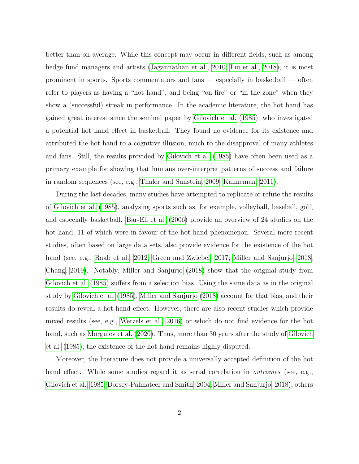better than on average. While this concept may occur in different fields, such as among hedge fund managers and artists [\(Jagannathan et al., 2010;](#page-15-0) [Liu et al., 2018\)](#page-15-1), it is most prominent in sports. Sports commentators and fans — especially in basketball — often refer to players as having a "hot hand", and being "on fire" or "in the zone" when they show a (successful) streak in performance. In the academic literature, the hot hand has gained great interest since the seminal paper by [Gilovich et al.](#page-15-2) [\(1985\)](#page-15-2), who investigated a potential hot hand effect in basketball. They found no evidence for its existence and attributed the hot hand to a cognitive illusion, much to the disapproval of many athletes and fans. Still, the results provided by [Gilovich et al.](#page-15-2) [\(1985\)](#page-15-2) have often been used as a primary example for showing that humans over-interpret patterns of success and failure in random sequences (see, e.g., [Thaler and Sunstein, 2009;](#page-16-0) [Kahneman, 2011\)](#page-15-3).

During the last decades, many studies have attempted to replicate or refute the results of [Gilovich et al.](#page-15-2) [\(1985\)](#page-15-2), analysing sports such as, for example, volleyball, baseball, golf, and especially basketball. [Bar-Eli et al.](#page-15-4) [\(2006\)](#page-15-4) provide an overview of 24 studies on the hot hand, 11 of which were in favour of the hot hand phenomenon. Several more recent studies, often based on large data sets, also provide evidence for the existence of the hot hand (see, e.g., [Raab et al., 2012;](#page-16-1) [Green and Zwiebel, 2017;](#page-15-5) [Miller and Sanjurjo, 2018;](#page-16-2) [Chang, 2019\)](#page-15-6). Notably, [Miller and Sanjurjo](#page-16-2) [\(2018\)](#page-16-2) show that the original study from [Gilovich et al.](#page-15-2) [\(1985\)](#page-15-2) suffers from a selection bias. Using the same data as in the original study by [Gilovich et al.](#page-15-2) [\(1985\)](#page-15-2), [Miller and Sanjurjo](#page-16-2) [\(2018\)](#page-16-2) account for that bias, and their results do reveal a hot hand effect. However, there are also recent studies which provide mixed results (see, e.g., [Wetzels et al., 2016\)](#page-16-3) or which do not find evidence for the hot hand, such as [Morgulev et al.](#page-16-4) [\(2020\)](#page-16-4). Thus, more than 30 years after the study of [Gilovich](#page-15-2) [et al.](#page-15-2) [\(1985\)](#page-15-2), the existence of the hot hand remains highly disputed.

Moreover, the literature does not provide a universally accepted definition of the hot hand effect. While some studies regard it as serial correlation in *outcomes* (see, e.g., [Gilovich et al., 1985;](#page-15-2) [Dorsey-Palmateer and Smith, 2004;](#page-15-7) [Miller and Sanjurjo, 2018\)](#page-16-2), others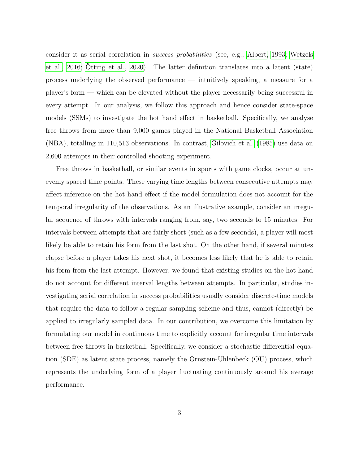consider it as serial correlation in success probabilities (see, e.g., [Albert, 1993;](#page-15-8) [Wetzels](#page-16-3) [et al., 2016;](#page-16-3) [Otting et al., 2020\)](#page-16-5). The latter definition translates into a latent (state) process underlying the observed performance — intuitively speaking, a measure for a player's form — which can be elevated without the player necessarily being successful in every attempt. In our analysis, we follow this approach and hence consider state-space models (SSMs) to investigate the hot hand effect in basketball. Specifically, we analyse free throws from more than 9,000 games played in the National Basketball Association (NBA), totalling in 110,513 observations. In contrast, [Gilovich et al.](#page-15-2) [\(1985\)](#page-15-2) use data on 2,600 attempts in their controlled shooting experiment.

Free throws in basketball, or similar events in sports with game clocks, occur at unevenly spaced time points. These varying time lengths between consecutive attempts may affect inference on the hot hand effect if the model formulation does not account for the temporal irregularity of the observations. As an illustrative example, consider an irregular sequence of throws with intervals ranging from, say, two seconds to 15 minutes. For intervals between attempts that are fairly short (such as a few seconds), a player will most likely be able to retain his form from the last shot. On the other hand, if several minutes elapse before a player takes his next shot, it becomes less likely that he is able to retain his form from the last attempt. However, we found that existing studies on the hot hand do not account for different interval lengths between attempts. In particular, studies investigating serial correlation in success probabilities usually consider discrete-time models that require the data to follow a regular sampling scheme and thus, cannot (directly) be applied to irregularly sampled data. In our contribution, we overcome this limitation by formulating our model in continuous time to explicitly account for irregular time intervals between free throws in basketball. Specifically, we consider a stochastic differential equation (SDE) as latent state process, namely the Ornstein-Uhlenbeck (OU) process, which represents the underlying form of a player fluctuating continuously around his average performance.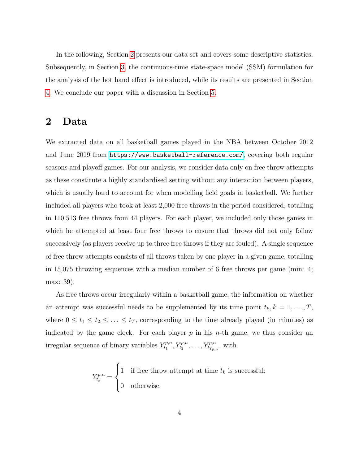In the following, Section [2](#page-3-0) presents our data set and covers some descriptive statistics. Subsequently, in Section [3,](#page-5-0) the continuous-time state-space model (SSM) formulation for the analysis of the hot hand effect is introduced, while its results are presented in Section [4.](#page-9-0) We conclude our paper with a discussion in Section [5.](#page-13-0)

## <span id="page-3-0"></span>2 Data

We extracted data on all basketball games played in the NBA between October 2012 and June 2019 from <https://www.basketball-reference.com/>, covering both regular seasons and playoff games. For our analysis, we consider data only on free throw attempts as these constitute a highly standardised setting without any interaction between players, which is usually hard to account for when modelling field goals in basketball. We further included all players who took at least 2,000 free throws in the period considered, totalling in 110,513 free throws from 44 players. For each player, we included only those games in which he attempted at least four free throws to ensure that throws did not only follow successively (as players receive up to three free throws if they are fouled). A single sequence of free throw attempts consists of all throws taken by one player in a given game, totalling in 15,075 throwing sequences with a median number of 6 free throws per game (min: 4; max: 39).

As free throws occur irregularly within a basketball game, the information on whether an attempt was successful needs to be supplemented by its time point  $t_k, k = 1, \ldots, T$ , where  $0 \le t_1 \le t_2 \le \ldots \le t_T$ , corresponding to the time already played (in minutes) as indicated by the game clock. For each player  $p$  in his *n*-th game, we thus consider an irregular sequence of binary variables  $Y_{t_1}^{p,n}$  $t_1^{p,n}, Y_{t_2}^{p,n}, \ldots, Y_{t_{T_{p,n}}}^{p,n},$  with

$$
Y_{t_k}^{p,n} = \begin{cases} 1 & \text{if free throw attempt at time } t_k \text{ is successful;} \\ 0 & \text{otherwise.} \end{cases}
$$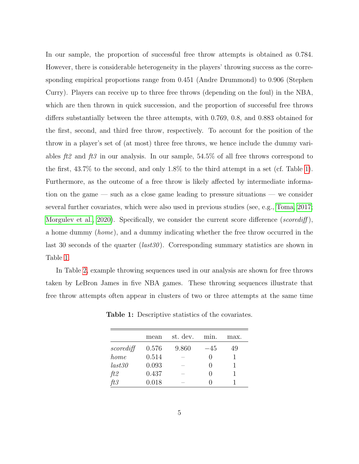In our sample, the proportion of successful free throw attempts is obtained as 0.784. However, there is considerable heterogeneity in the players' throwing success as the corresponding empirical proportions range from 0.451 (Andre Drummond) to 0.906 (Stephen Curry). Players can receive up to three free throws (depending on the foul) in the NBA, which are then thrown in quick succession, and the proportion of successful free throws differs substantially between the three attempts, with 0.769, 0.8, and 0.883 obtained for the first, second, and third free throw, respectively. To account for the position of the throw in a player's set of (at most) three free throws, we hence include the dummy variables  $\textit{ft2}$  and  $\textit{ft3}$  in our analysis. In our sample, 54.5% of all free throws correspond to the first, 43.7% to the second, and only 1.8% to the third attempt in a set (cf. Table [1\)](#page-4-0). Furthermore, as the outcome of a free throw is likely affected by intermediate information on the game — such as a close game leading to pressure situations — we consider several further covariates, which were also used in previous studies (see, e.g., [Toma, 2017;](#page-16-6) [Morgulev et al., 2020\)](#page-16-4). Specifically, we consider the current score difference (scorediff), a home dummy (home), and a dummy indicating whether the free throw occurred in the last 30 seconds of the quarter  $(last30)$ . Corresponding summary statistics are shown in Table [1.](#page-4-0)

<span id="page-4-0"></span>In Table [2,](#page-5-1) example throwing sequences used in our analysis are shown for free throws taken by LeBron James in five NBA games. These throwing sequences illustrate that free throw attempts often appear in clusters of two or three attempts at the same time

|           | mean  | st. dev. | min. | max. |
|-----------|-------|----------|------|------|
| scorediff | 0.576 | 9.860    | -45  | 49   |
| home      | 0.514 |          |      |      |
| last30    | 0.093 |          |      |      |
| ft2       | 0.437 |          |      |      |
| ft3       | 0.018 |          |      |      |

Table 1: Descriptive statistics of the covariates.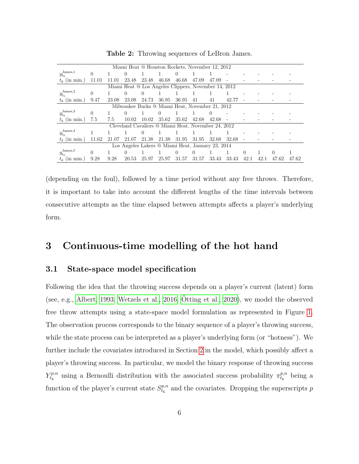<span id="page-5-1"></span>

| Miami Heat @ Houston Rockets, November 12, 2012      |          |       |          |          |                  |          |       |          |       |          |      |          |       |
|------------------------------------------------------|----------|-------|----------|----------|------------------|----------|-------|----------|-------|----------|------|----------|-------|
| James, 1<br>$y_{t_k}$                                | 0        |       |          |          |                  | $\theta$ |       |          |       |          |      |          |       |
| $t_k$ (in min.)                                      | 11.01    | 11.01 | 23.48    | 23.48    | 46.68            | 46.68    | 47.09 | 47.09    |       |          |      |          |       |
| Miami Heat @ Los Angeles Clippers, November 14, 2012 |          |       |          |          |                  |          |       |          |       |          |      |          |       |
| $y_{t_k}^{\text{James},2}$                           | $\theta$ |       |          | 0        |                  |          |       |          |       |          |      |          |       |
| $t_k$ (in min.)                                      | 9.47     | 23.08 | 23.08    | 24.73    | 36.95            | 36.95    | 41    | 41       | 42.77 |          |      |          |       |
| Milwaukee Bucks @ Miami Heat, November 21, 2012      |          |       |          |          |                  |          |       |          |       |          |      |          |       |
| James, 3<br>$y_{t_k}$                                | 0        |       | $\theta$ |          | $\left( \right)$ |          |       | $\theta$ |       |          |      |          |       |
| $t_k$ (in min.)                                      | 7.5      | 7.5   | 10.02    | 10.02    | 35.62            | 35.62    | 42.68 | 42.68    |       |          |      |          |       |
| Cleveland Cavaliers @ Miami Heat, November 24, 2012  |          |       |          |          |                  |          |       |          |       |          |      |          |       |
| $y_{t_k}^{\text{James},4}$                           |          |       |          | $\theta$ |                  |          |       |          |       |          |      |          |       |
| $t_k$ (in min.)                                      | 11.62    | 21.07 | 21.07    | 21.38    | 21.38            | 31.95    | 31.95 | 32.68    | 32.68 |          |      |          |       |
| Los Angeles Lakers @ Miami Heat, January 23, 2014    |          |       |          |          |                  |          |       |          |       |          |      |          |       |
| $y_{t_k}^{\rm James, 5}$                             | 0        |       |          |          |                  | U        | 0     |          |       | $^{(1)}$ |      | $\theta$ |       |
| $t_k$ (in min.)                                      | 9.28     | 9.28  | 20.53    | 25.97    | 25.97            | 31.57    | 31.57 | 33.43    | 33.43 | 42.1     | 42.1 | 47.62    | 47.62 |

Table 2: Throwing sequences of LeBron James.

(depending on the foul), followed by a time period without any free throws. Therefore, it is important to take into account the different lengths of the time intervals between consecutive attempts as the time elapsed between attempts affects a player's underlying form.

## <span id="page-5-0"></span>3 Continuous-time modelling of the hot hand

#### 3.1 State-space model specification

Following the idea that the throwing success depends on a player's current (latent) form (see, e.g., [Albert, 1993;](#page-15-8) [Wetzels et al., 2016;](#page-16-3)  $\ddot{O}tting$  et al., 2020), we model the observed free throw attempts using a state-space model formulation as represented in Figure [1.](#page-7-0) The observation process corresponds to the binary sequence of a player's throwing success, while the state process can be interpreted as a player's underlying form (or "hotness"). We further include the covariates introduced in Section [2](#page-3-0) in the model, which possibly affect a player's throwing success. In particular, we model the binary response of throwing success  $Y^{p,n}_{t_k}$  $\tau_{t_k}^{p,n}$  using a Bernoulli distribution with the associated success probability  $\pi_{t_k}^{p,n}$  $\frac{p,n}{t_k}$  being a function of the player's current state  $S_{t_{k}}^{p,n}$  $t_k^{p,n}$  and the covariates. Dropping the superscripts p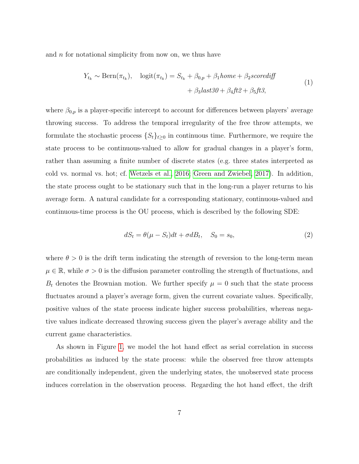<span id="page-6-0"></span>and  $n$  for notational simplicity from now on, we thus have

$$
Y_{t_k} \sim \text{Bern}(\pi_{t_k}), \quad \text{logit}(\pi_{t_k}) = S_{t_k} + \beta_{0,p} + \beta_1 home + \beta_2 scorediff
$$
  
+  $\beta_3 last30 + \beta_4 ft2 + \beta_5 ft3,$  (1)

where  $\beta_{0,p}$  is a player-specific intercept to account for differences between players' average throwing success. To address the temporal irregularity of the free throw attempts, we formulate the stochastic process  $\{S_t\}_{t\geq 0}$  in continuous time. Furthermore, we require the state process to be continuous-valued to allow for gradual changes in a player's form, rather than assuming a finite number of discrete states (e.g. three states interpreted as cold vs. normal vs. hot; cf. [Wetzels et al., 2016;](#page-16-3) [Green and Zwiebel, 2017\)](#page-15-5). In addition, the state process ought to be stationary such that in the long-run a player returns to his average form. A natural candidate for a corresponding stationary, continuous-valued and continuous-time process is the OU process, which is described by the following SDE:

<span id="page-6-1"></span>
$$
dS_t = \theta(\mu - S_t)dt + \sigma dB_t, \quad S_0 = s_0,
$$
\n<sup>(2)</sup>

where  $\theta > 0$  is the drift term indicating the strength of reversion to the long-term mean  $\mu \in \mathbb{R}$ , while  $\sigma > 0$  is the diffusion parameter controlling the strength of fluctuations, and  $B_t$  denotes the Brownian motion. We further specify  $\mu = 0$  such that the state process fluctuates around a player's average form, given the current covariate values. Specifically, positive values of the state process indicate higher success probabilities, whereas negative values indicate decreased throwing success given the player's average ability and the current game characteristics.

As shown in Figure [1,](#page-7-0) we model the hot hand effect as serial correlation in success probabilities as induced by the state process: while the observed free throw attempts are conditionally independent, given the underlying states, the unobserved state process induces correlation in the observation process. Regarding the hot hand effect, the drift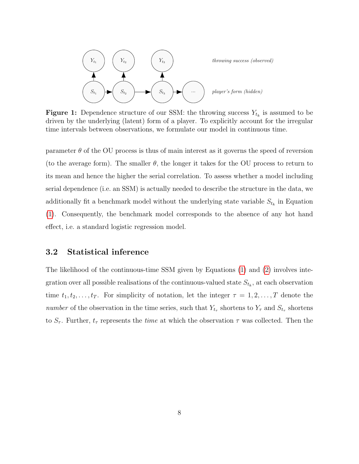<span id="page-7-0"></span>

**Figure 1:** Dependence structure of our SSM: the throwing success  $Y_{t_k}$  is assumed to be driven by the underlying (latent) form of a player. To explicitly account for the irregular time intervals between observations, we formulate our model in continuous time.

parameter  $\theta$  of the OU process is thus of main interest as it governs the speed of reversion (to the average form). The smaller  $\theta$ , the longer it takes for the OU process to return to its mean and hence the higher the serial correlation. To assess whether a model including serial dependence (i.e. an SSM) is actually needed to describe the structure in the data, we additionally fit a benchmark model without the underlying state variable  $S_{t_k}$  in Equation [\(1\)](#page-6-0). Consequently, the benchmark model corresponds to the absence of any hot hand effect, i.e. a standard logistic regression model.

### <span id="page-7-1"></span>3.2 Statistical inference

The likelihood of the continuous-time SSM given by Equations [\(1\)](#page-6-0) and [\(2\)](#page-6-1) involves integration over all possible realisations of the continuous-valued state  $S_{t_k}$ , at each observation time  $t_1, t_2, \ldots, t_T$ . For simplicity of notation, let the integer  $\tau = 1, 2, \ldots, T$  denote the number of the observation in the time series, such that  $Y_{t_{\tau}}$  shortens to  $Y_{\tau}$  and  $S_{t_{\tau}}$  shortens to  $S_{\tau}$ . Further,  $t_{\tau}$  represents the *time* at which the observation  $\tau$  was collected. Then the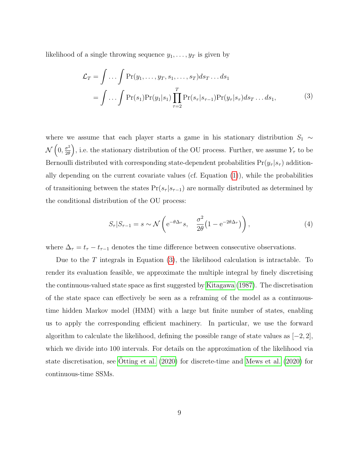<span id="page-8-0"></span>likelihood of a single throwing sequence  $y_1, \ldots, y_T$  is given by

$$
\mathcal{L}_T = \int \dots \int \Pr(y_1, \dots, y_T, s_1, \dots, s_T) ds_T \dots ds_1
$$

$$
= \int \dots \int \Pr(s_1) \Pr(y_1|s_1) \prod_{\tau=2}^T \Pr(s_\tau|s_{\tau-1}) \Pr(y_\tau|s_\tau) ds_T \dots ds_1,
$$
(3)

where we assume that each player starts a game in his stationary distribution  $S_1 \sim$  $\mathcal{N}\left(0,\frac{\sigma^2}{2\theta}\right)$  $\left(\frac{\sigma^2}{2\theta}\right)$ , i.e. the stationary distribution of the OU process. Further, we assume  $Y_\tau$  to be Bernoulli distributed with corresponding state-dependent probabilities  $Pr(y_\tau | s_\tau)$  additionally depending on the current covariate values (cf. Equation  $(1)$ ), while the probabilities of transitioning between the states  $Pr(s_{\tau} | s_{\tau-1})$  are normally distributed as determined by the conditional distribution of the OU process:

<span id="page-8-1"></span>
$$
S_{\tau}|S_{\tau-1} = s \sim \mathcal{N}\left(e^{-\theta \Delta_{\tau}}s, \frac{\sigma^2}{2\theta}(1 - e^{-2\theta \Delta_{\tau}})\right),\tag{4}
$$

where  $\Delta_{\tau} = t_{\tau} - t_{\tau-1}$  denotes the time difference between consecutive observations.

Due to the  $T$  integrals in Equation [\(3\)](#page-8-0), the likelihood calculation is intractable. To render its evaluation feasible, we approximate the multiple integral by finely discretising the continuous-valued state space as first suggested by [Kitagawa](#page-15-9) [\(1987\)](#page-15-9). The discretisation of the state space can effectively be seen as a reframing of the model as a continuoustime hidden Markov model (HMM) with a large but finite number of states, enabling us to apply the corresponding efficient machinery. In particular, we use the forward algorithm to calculate the likelihood, defining the possible range of state values as  $[-2, 2]$ , which we divide into 100 intervals. For details on the approximation of the likelihood via state discretisation, see [Otting et al.](#page-16-5)  $(2020)$  for discrete-time and [Mews et al.](#page-16-7)  $(2020)$  for continuous-time SSMs.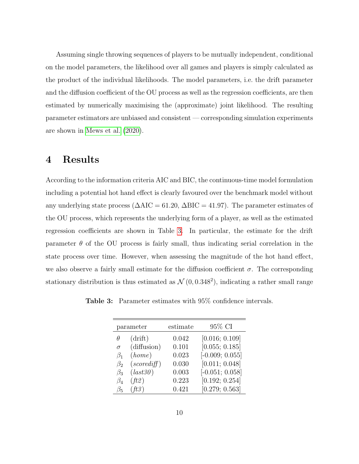Assuming single throwing sequences of players to be mutually independent, conditional on the model parameters, the likelihood over all games and players is simply calculated as the product of the individual likelihoods. The model parameters, i.e. the drift parameter and the diffusion coefficient of the OU process as well as the regression coefficients, are then estimated by numerically maximising the (approximate) joint likelihood. The resulting parameter estimators are unbiased and consistent — corresponding simulation experiments are shown in [Mews et al.](#page-16-7) [\(2020\)](#page-16-7).

## <span id="page-9-0"></span>4 Results

According to the information criteria AIC and BIC, the continuous-time model formulation including a potential hot hand effect is clearly favoured over the benchmark model without any underlying state process ( $\Delta AIC = 61.20$ ,  $\Delta BIC = 41.97$ ). The parameter estimates of the OU process, which represents the underlying form of a player, as well as the estimated regression coefficients are shown in Table [3.](#page-9-1) In particular, the estimate for the drift parameter  $\theta$  of the OU process is fairly small, thus indicating serial correlation in the state process over time. However, when assessing the magnitude of the hot hand effect, we also observe a fairly small estimate for the diffusion coefficient  $\sigma$ . The corresponding stationary distribution is thus estimated as  $\mathcal{N}(0, 0.348^2)$ , indicating a rather small range

<span id="page-9-1"></span>Table 3: Parameter estimates with 95% confidence intervals.

| parameter |             | estimate | 95% CI            |  |  |  |
|-----------|-------------|----------|-------------------|--|--|--|
| θ         | (drift)     | 0.042    | [0.016; 0.109]    |  |  |  |
| $\sigma$  | (diffusion) | 0.101    | [0.055; 0.185]    |  |  |  |
| $\beta_1$ | (home)      | 0.023    | $[-0.009; 0.055]$ |  |  |  |
| $\beta_2$ | (scorediff) | 0.030    | [0.011; 0.048]    |  |  |  |
| $\beta_3$ | (last30)    | 0.003    | $[-0.051; 0.058]$ |  |  |  |
| $\beta_4$ | ft2)        | 0.223    | [0.192; 0.254]    |  |  |  |
| Bб        | (ft3)       | 0.421    | [0.279; 0.563]    |  |  |  |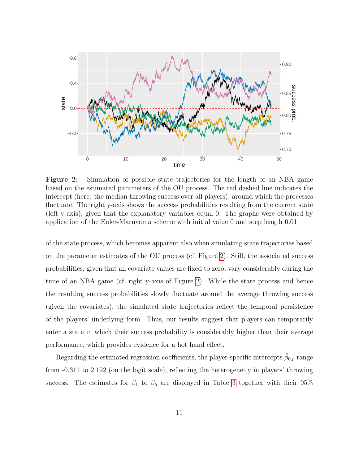<span id="page-10-0"></span>

Figure 2: Simulation of possible state trajectories for the length of an NBA game based on the estimated parameters of the OU process. The red dashed line indicates the intercept (here: the median throwing success over all players), around which the processes fluctuate. The right y-axis shows the success probabilities resulting from the current state (left y-axis), given that the explanatory variables equal 0. The graphs were obtained by application of the Euler-Maruyama scheme with initial value 0 and step length 0.01.

of the state process, which becomes apparent also when simulating state trajectories based on the parameter estimates of the OU process (cf. Figure [2\)](#page-10-0). Still, the associated success probabilities, given that all covariate values are fixed to zero, vary considerably during the time of an NBA game (cf. right y-axis of Figure [2\)](#page-10-0). While the state process and hence the resulting success probabilities slowly fluctuate around the average throwing success (given the covariates), the simulated state trajectories reflect the temporal persistence of the players' underlying form. Thus, our results suggest that players can temporarily enter a state in which their success probability is considerably higher than their average performance, which provides evidence for a hot hand effect.

Regarding the estimated regression coefficients, the player-specific intercepts  $\hat{\beta}_{0,p}$  range from -0.311 to 2.192 (on the logit scale), reflecting the heterogeneity in players' throwing success. The estimates for  $\beta_1$  to  $\beta_5$  are displayed in Table [3](#page-9-1) together with their 95%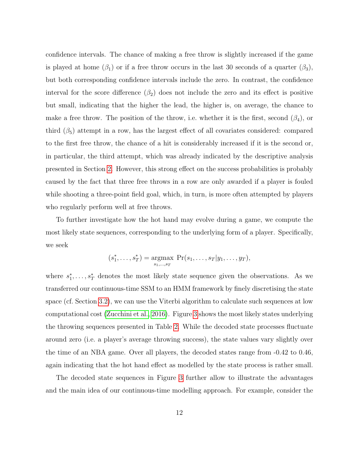confidence intervals. The chance of making a free throw is slightly increased if the game is played at home  $(\beta_1)$  or if a free throw occurs in the last 30 seconds of a quarter  $(\beta_3)$ , but both corresponding confidence intervals include the zero. In contrast, the confidence interval for the score difference  $(\beta_2)$  does not include the zero and its effect is positive but small, indicating that the higher the lead, the higher is, on average, the chance to make a free throw. The position of the throw, i.e. whether it is the first, second  $(\beta_4)$ , or third  $(\beta_5)$  attempt in a row, has the largest effect of all covariates considered: compared to the first free throw, the chance of a hit is considerably increased if it is the second or, in particular, the third attempt, which was already indicated by the descriptive analysis presented in Section [2.](#page-3-0) However, this strong effect on the success probabilities is probably caused by the fact that three free throws in a row are only awarded if a player is fouled while shooting a three-point field goal, which, in turn, is more often attempted by players who regularly perform well at free throws.

To further investigate how the hot hand may evolve during a game, we compute the most likely state sequences, corresponding to the underlying form of a player. Specifically, we seek

$$
(s_1^*,...,s_T^*)
$$
 =  $\underset{s_1,...,s_T}{\text{argmax}} \ \Pr(s_1,...,s_T|y_1,...,y_T),$ 

where  $s_1^*, \ldots, s_T^*$  denotes the most likely state sequence given the observations. As we transferred our continuous-time SSM to an HMM framework by finely discretising the state space (cf. Section [3.2\)](#page-7-1), we can use the Viterbi algorithm to calculate such sequences at low computational cost [\(Zucchini et al., 2016\)](#page-16-8). Figure [3](#page-12-0) shows the most likely states underlying the throwing sequences presented in Table [2.](#page-5-1) While the decoded state processes fluctuate around zero (i.e. a player's average throwing success), the state values vary slightly over the time of an NBA game. Over all players, the decoded states range from -0.42 to 0.46, again indicating that the hot hand effect as modelled by the state process is rather small.

The decoded state sequences in Figure [3](#page-12-0) further allow to illustrate the advantages and the main idea of our continuous-time modelling approach. For example, consider the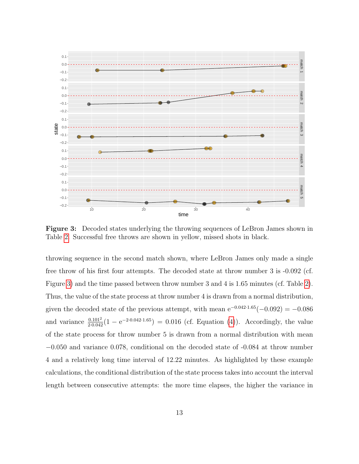<span id="page-12-0"></span>

Figure 3: Decoded states underlying the throwing sequences of LeBron James shown in Table [2.](#page-5-1) Successful free throws are shown in yellow, missed shots in black.

throwing sequence in the second match shown, where LeBron James only made a single free throw of his first four attempts. The decoded state at throw number 3 is -0.092 (cf. Figure [3\)](#page-12-0) and the time passed between throw number 3 and 4 is 1.65 minutes (cf. Table [2\)](#page-5-1). Thus, the value of the state process at throw number 4 is drawn from a normal distribution, given the decoded state of the previous attempt, with mean  $e^{-0.042 \cdot 1.65}(-0.092) = -0.086$ and variance  $\frac{0.101^2}{2 \cdot 0.042} (1 - e^{-2 \cdot 0.042 \cdot 1.65}) = 0.016$  (cf. Equation [\(4\)](#page-8-1)). Accordingly, the value of the state process for throw number 5 is drawn from a normal distribution with mean −0.050 and variance 0.078, conditional on the decoded state of -0.084 at throw number 4 and a relatively long time interval of 12.22 minutes. As highlighted by these example calculations, the conditional distribution of the state process takes into account the interval length between consecutive attempts: the more time elapses, the higher the variance in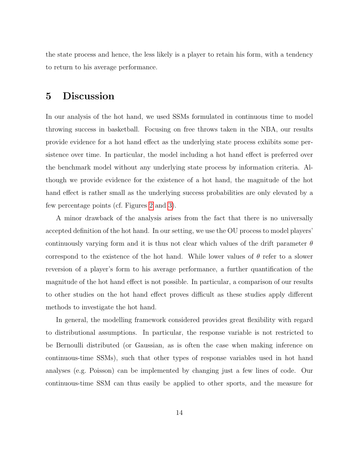the state process and hence, the less likely is a player to retain his form, with a tendency to return to his average performance.

## <span id="page-13-0"></span>5 Discussion

In our analysis of the hot hand, we used SSMs formulated in continuous time to model throwing success in basketball. Focusing on free throws taken in the NBA, our results provide evidence for a hot hand effect as the underlying state process exhibits some persistence over time. In particular, the model including a hot hand effect is preferred over the benchmark model without any underlying state process by information criteria. Although we provide evidence for the existence of a hot hand, the magnitude of the hot hand effect is rather small as the underlying success probabilities are only elevated by a few percentage points (cf. Figures [2](#page-10-0) and [3\)](#page-12-0).

A minor drawback of the analysis arises from the fact that there is no universally accepted definition of the hot hand. In our setting, we use the OU process to model players' continuously varying form and it is thus not clear which values of the drift parameter  $\theta$ correspond to the existence of the hot hand. While lower values of  $\theta$  refer to a slower reversion of a player's form to his average performance, a further quantification of the magnitude of the hot hand effect is not possible. In particular, a comparison of our results to other studies on the hot hand effect proves difficult as these studies apply different methods to investigate the hot hand.

In general, the modelling framework considered provides great flexibility with regard to distributional assumptions. In particular, the response variable is not restricted to be Bernoulli distributed (or Gaussian, as is often the case when making inference on continuous-time SSMs), such that other types of response variables used in hot hand analyses (e.g. Poisson) can be implemented by changing just a few lines of code. Our continuous-time SSM can thus easily be applied to other sports, and the measure for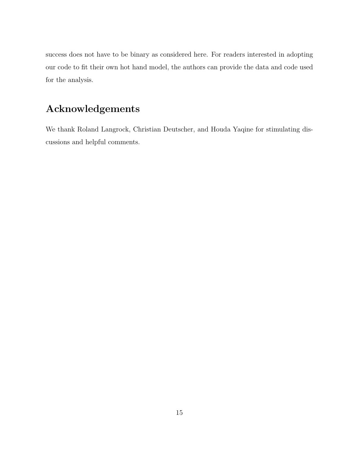success does not have to be binary as considered here. For readers interested in adopting our code to fit their own hot hand model, the authors can provide the data and code used for the analysis.

## Acknowledgements

We thank Roland Langrock, Christian Deutscher, and Houda Yaqine for stimulating discussions and helpful comments.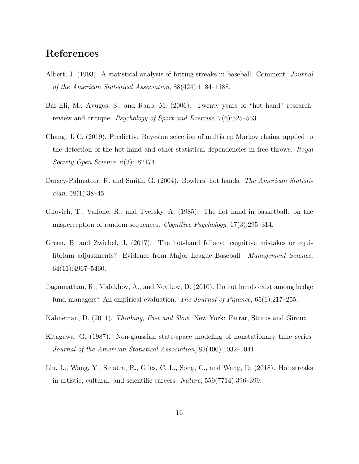## References

- <span id="page-15-8"></span>Albert, J. (1993). A statistical analysis of hitting streaks in baseball: Comment. Journal of the American Statistical Association, 88(424):1184–1188.
- <span id="page-15-4"></span>Bar-Eli, M., Avugos, S., and Raab, M. (2006). Twenty years of "hot hand" research: review and critique. Psychology of Sport and Exercise, 7(6):525–553.
- <span id="page-15-6"></span>Chang, J. C. (2019). Predictive Bayesian selection of multistep Markov chains, applied to the detection of the hot hand and other statistical dependencies in free throws. Royal Society Open Science, 6(3):182174.
- <span id="page-15-7"></span>Dorsey-Palmateer, R. and Smith, G. (2004). Bowlers' hot hands. The American Statisti $cian, 58(1):38-45.$
- <span id="page-15-2"></span>Gilovich, T., Vallone, R., and Tversky, A. (1985). The hot hand in basketball: on the misperception of random sequences. Cognitive Psychology, 17(3):295–314.
- <span id="page-15-5"></span>Green, B. and Zwiebel, J. (2017). The hot-hand fallacy: cognitive mistakes or equilibrium adjustments? Evidence from Major League Baseball. Management Science, 64(11):4967–5460.
- <span id="page-15-0"></span>Jagannathan, R., Malakhov, A., and Novikov, D. (2010). Do hot hands exist among hedge fund managers? An empirical evaluation. The Journal of Finance,  $65(1):217-255$ .
- <span id="page-15-3"></span>Kahneman, D. (2011). Thinking, Fast and Slow. New York: Farrar, Straus and Giroux.
- <span id="page-15-9"></span>Kitagawa, G. (1987). Non-gaussian state-space modeling of nonstationary time series. Journal of the American Statistical Association, 82(400):1032–1041.
- <span id="page-15-1"></span>Liu, L., Wang, Y., Sinatra, R., Giles, C. L., Song, C., and Wang, D. (2018). Hot streaks in artistic, cultural, and scientific careers. Nature, 559(7714):396–399.